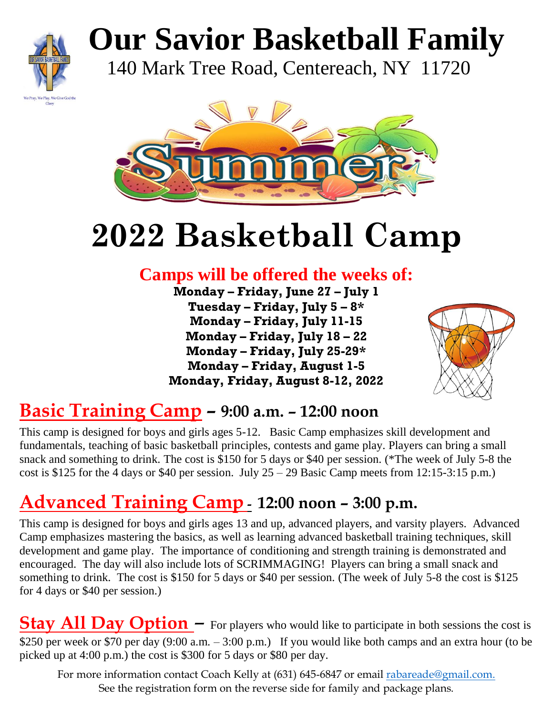

# **Our Savior Basketball Family**

140 Mark Tree Road, Centereach, NY 11720



## **2022 Basketball Camp**

## **Camps will be offered the weeks of:**

**Monday – Friday, June 27 – July 1 Tuesday – Friday, July 5 – 8\* Monday – Friday, July 11-15 Monday – Friday, July 18 – 22 Monday – Friday, July 25-29\* Monday – Friday, August 1-5 Monday, Friday, August 8-12, 2022** 



### **Basic Training Camp – 9:00 a.m. – 12:00 noon**

This camp is designed for boys and girls ages 5-12. Basic Camp emphasizes skill development and fundamentals, teaching of basic basketball principles, contests and game play. Players can bring a small snack and something to drink. The cost is \$150 for 5 days or \$40 per session. (\*The week of July 5-8 the cost is \$125 for the 4 days or \$40 per session. July  $25 - 29$  Basic Camp meets from 12:15-3:15 p.m.)

## **Advanced Training Camp - 12:00 noon – 3:00 p.m.**

This camp is designed for boys and girls ages 13 and up, advanced players, and varsity players. Advanced Camp emphasizes mastering the basics, as well as learning advanced basketball training techniques, skill development and game play. The importance of conditioning and strength training is demonstrated and encouraged. The day will also include lots of SCRIMMAGING! Players can bring a small snack and something to drink. The cost is \$150 for 5 days or \$40 per session. (The week of July 5-8 the cost is \$125 for 4 days or \$40 per session.)

**Stay All Day Option** – For players who would like to participate in both sessions the cost is \$250 per week or \$70 per day (9:00 a.m. – 3:00 p.m.) If you would like both camps and an extra hour (to be picked up at 4:00 p.m.) the cost is \$300 for 5 days or \$80 per day.

For more information contact Coach Kelly at (631) 645-6847 or email [rabareade@gmail.com.](about:blank) See the registration form on the reverse side for family and package plans.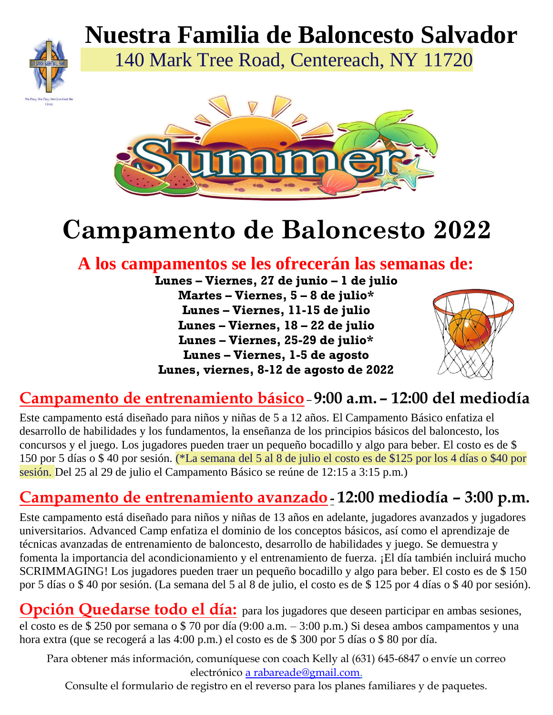

 **Nuestra Familia de Baloncesto Salvador**

140 Mark Tree Road, Centereach, NY 11720



## **Campamento de Baloncesto 2022**

### **A los campamentos se les ofrecerán las semanas de:**

**Lunes – Viernes, 27 de junio – 1 de julio Martes – Viernes, 5 – 8 de julio\* Lunes – Viernes, 11-15 de julio Lunes – Viernes, 18 – 22 de julio Lunes – Viernes, 25-29 de julio\* Lunes – Viernes, 1-5 de agosto Lunes, viernes, 8-12 de agosto de 2022**



#### **Campamento de entrenamiento básico** – **9:00 a.m. – 12:00 del mediodía**

Este campamento está diseñado para niños y niñas de 5 a 12 años. El Campamento Básico enfatiza el desarrollo de habilidades y los fundamentos, la enseñanza de los principios básicos del baloncesto, los concursos y el juego. Los jugadores pueden traer un pequeño bocadillo y algo para beber. El costo es de \$ 150 por 5 días o \$ 40 por sesión. (\*La semana del 5 al 8 de julio el costo es de \$125 por los 4 días o \$40 por sesión. Del 25 al 29 de julio el Campamento Básico se reúne de 12:15 a 3:15 p.m.)

#### **Campamento de entrenamiento avanzado - 12:00 mediodía – 3:00 p.m.**

Este campamento está diseñado para niños y niñas de 13 años en adelante, jugadores avanzados y jugadores universitarios. Advanced Camp enfatiza el dominio de los conceptos básicos, así como el aprendizaje de técnicas avanzadas de entrenamiento de baloncesto, desarrollo de habilidades y juego. Se demuestra y fomenta la importancia del acondicionamiento y el entrenamiento de fuerza. ¡El día también incluirá mucho SCRIMMAGING! Los jugadores pueden traer un pequeño bocadillo y algo para beber. El costo es de \$ 150 por 5 días o \$ 40 por sesión. (La semana del 5 al 8 de julio, el costo es de \$ 125 por 4 días o \$ 40 por sesión).

**Opción Quedarse todo el día:** para los jugadores que deseen participar en ambas sesiones, el costo es de \$ 250 por semana o \$ 70 por día (9:00 a.m. – 3:00 p.m.) Si desea ambos campamentos y una hora extra (que se recogerá a las 4:00 p.m.) el costo es de \$ 300 por 5 días o \$ 80 por día.

Para obtener más información, comuníquese con coach Kelly al (631) 645-6847 o envíe un correo electrónico [a rabareade@gmail.com.](about:blank)

Consulte el formulario de registro en el reverso para los planes familiares y de paquetes.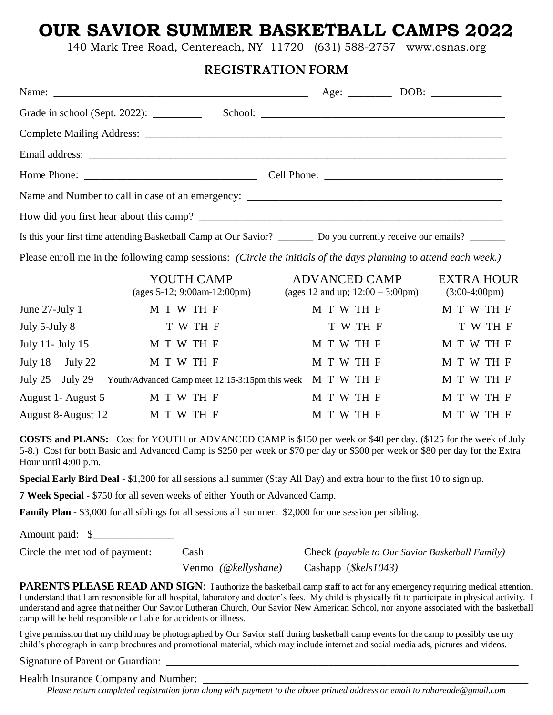#### **OUR SAVIOR SUMMER BASKETBALL CAMPS 2022**

140 Mark Tree Road, Centereach, NY 11720 (631) 588-2757 www.osnas.org

#### **REGISTRATION FORM**

| Grade in school (Sept. 2022): __________                                                                                   |  |  |  |  |  |
|----------------------------------------------------------------------------------------------------------------------------|--|--|--|--|--|
|                                                                                                                            |  |  |  |  |  |
|                                                                                                                            |  |  |  |  |  |
|                                                                                                                            |  |  |  |  |  |
|                                                                                                                            |  |  |  |  |  |
|                                                                                                                            |  |  |  |  |  |
| Is this your first time attending Basketball Camp at Our Savior? __________ Do you currently receive our emails? _________ |  |  |  |  |  |

Please enroll me in the following camp sessions: *(Circle the initials of the days planning to attend each week.)* 

|                     | YOUTH CAMP<br>(ages $5-12$ ; 9:00am-12:00pm)               | <b>ADVANCED CAMP</b><br>(ages 12 and up; $12:00 - 3:00 \text{pm}$ ) | <b>EXTRA HOUR</b><br>$(3:00-4:00 \text{pm})$ |
|---------------------|------------------------------------------------------------|---------------------------------------------------------------------|----------------------------------------------|
| June $27$ -July 1   | M T W TH F                                                 | M T W TH F                                                          | M T W TH F                                   |
| July 5-July 8       | T W TH F                                                   | T W TH F                                                            | T W TH F                                     |
| July 11- July 15    | M T W TH F                                                 | M T W TH F                                                          | M T W TH F                                   |
| July $18 -$ July 22 | M T W TH F                                                 | M T W TH F                                                          | M T W TH F                                   |
| July $25 -$ July 29 | Youth/Advanced Camp meet 12:15-3:15pm this week M T W TH F |                                                                     | M T W TH F                                   |
| August 1- August 5  | M T W TH F                                                 | M T W TH F                                                          | M T W TH F                                   |
| August 8-August 12  | M T W TH F                                                 | M T W TH F                                                          | M T W TH F                                   |

**COSTS and PLANS:** Cost for YOUTH or ADVANCED CAMP is \$150 per week or \$40 per day. (\$125 for the week of July 5-8.) Cost for both Basic and Advanced Camp is \$250 per week or \$70 per day or \$300 per week or \$80 per day for the Extra Hour until 4:00 p.m.

**Special Early Bird Deal -** \$1,200 for all sessions all summer (Stay All Day) and extra hour to the first 10 to sign up.

**7 Week Special** - \$750 for all seven weeks of either Youth or Advanced Camp.

**Family Plan - \$3,000** for all siblings for all sessions all summer. \$2,000 for one session per sibling.

Amount paid: \$\_\_\_\_\_\_\_\_\_\_\_\_\_\_\_

Circle the method of payment: Cash Check *(payable to Our Savior Basketball Family)* 

Venmo *(@kellyshane)* Cashapp (*\$kels1043)* 

PARENTS PLEASE READ AND SIGN: I authorize the basketball camp staff to act for any emergency requiring medical attention. I understand that I am responsible for all hospital, laboratory and doctor's fees. My child is physically fit to participate in physical activity. I understand and agree that neither Our Savior Lutheran Church, Our Savior New American School, nor anyone associated with the basketball camp will be held responsible or liable for accidents or illness.

I give permission that my child may be photographed by Our Savior staff during basketball camp events for the camp to possibly use my child's photograph in camp brochures and promotional material, which may include internet and social media ads, pictures and videos.

Signature of Parent or Guardian:

Health Insurance Company and Number:

*Please return completed registration form along with payment to the above printed address or email to rabareade@gmail.com*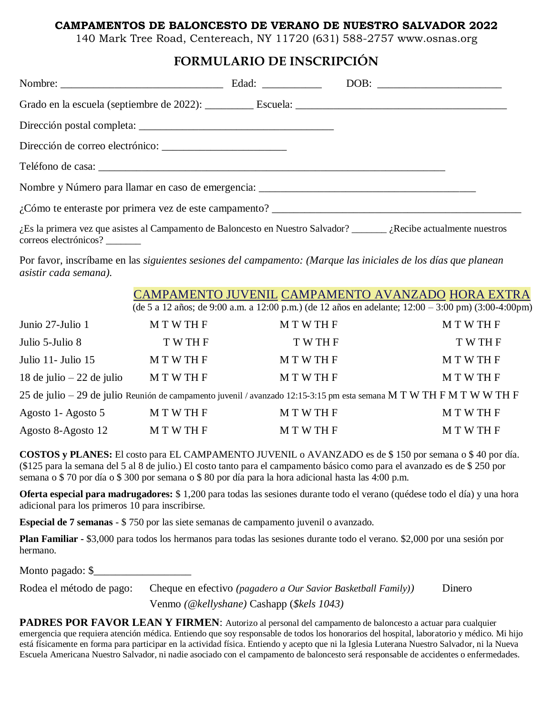#### **CAMPAMENTOS DE BALONCESTO DE VERANO DE NUESTRO SALVADOR 2022**

140 Mark Tree Road, Centereach, NY 11720 (631) 588-2757 www.osnas.org

#### **FORMULARIO DE INSCRIPCIÓN**

| $i$ , Es la primera vez que asistes al Campamento de Baloncesto en Nuestro Salvador? _______ iRecibe actualmente nuestros |  |  |
|---------------------------------------------------------------------------------------------------------------------------|--|--|

Por favor, inscríbame en las *siguientes sesiones del campamento: (Marque las iniciales de los días que planean asistir cada semana).*

CAMPAMENTO JUVENIL CAMPAMENTO AVANZADO HORA EXTRA

(de 5 a 12 años; de 9:00 a.m. a 12:00 p.m.) (de 12 años en adelante; 12:00 – 3:00 pm) (3:00-4:00pm)

| Junio 27-Julio 1           | M T W TH F    | <b>MTWTHF</b>                                                                                              | <b>MTWTHF</b> |
|----------------------------|---------------|------------------------------------------------------------------------------------------------------------|---------------|
| Julio 5-Julio 8            | T W TH F      | T W TH F                                                                                                   | T W TH F      |
| Julio 11 - Julio 15        | M T W TH F    | <b>MTWTHF</b>                                                                                              | <b>MTWTHF</b> |
| 18 de julio $-22$ de julio | M T W TH F    | <b>MTWTHF</b>                                                                                              | <b>MTWTHF</b> |
|                            |               | 25 de julio – 29 de julio Reunión de campamento juvenil / avanzado 12:15-3:15 pm esta semana MTWTHFMTWWTHF |               |
| Agosto 1 - Agosto 5        | <b>MTWTHF</b> | M T W TH F                                                                                                 | <b>MTWTHF</b> |
| Agosto 8-Agosto 12         | <b>MTWTHF</b> | <b>MTWTHF</b>                                                                                              | <b>MTWTHF</b> |

**COSTOS y PLANES:** El costo para EL CAMPAMENTO JUVENIL o AVANZADO es de \$ 150 por semana o \$ 40 por día. (\$125 para la semana del 5 al 8 de julio.) El costo tanto para el campamento básico como para el avanzado es de \$ 250 por semana o \$ 70 por día o \$ 300 por semana o \$ 80 por día para la hora adicional hasta las 4:00 p.m.

**Oferta especial para madrugadores:** \$ 1,200 para todas las sesiones durante todo el verano (quédese todo el día) y una hora adicional para los primeros 10 para inscribirse.

**Especial de 7 semanas** - \$ 750 por las siete semanas de campamento juvenil o avanzado.

**Plan Familiar -** \$3,000 para todos los hermanos para todas las sesiones durante todo el verano. \$2,000 por una sesión por hermano.

Monto pagado: \$

correos electrónicos? \_\_\_\_\_\_\_

Rodea el método de pago: Cheque en efectivo *(pagadero a Our Savior Basketball Family))* Dinero Venmo *(@kellyshane)* Cashapp (*\$kels 1043)*

**PADRES POR FAVOR LEAN Y FIRMEN:** Autorizo al personal del campamento de baloncesto a actuar para cualquier emergencia que requiera atención médica. Entiendo que soy responsable de todos los honorarios del hospital, laboratorio y médico. Mi hijo está físicamente en forma para participar en la actividad física. Entiendo y acepto que ni la Iglesia Luterana Nuestro Salvador, ni la Nueva Escuela Americana Nuestro Salvador, ni nadie asociado con el campamento de baloncesto será responsable de accidentes o enfermedades.